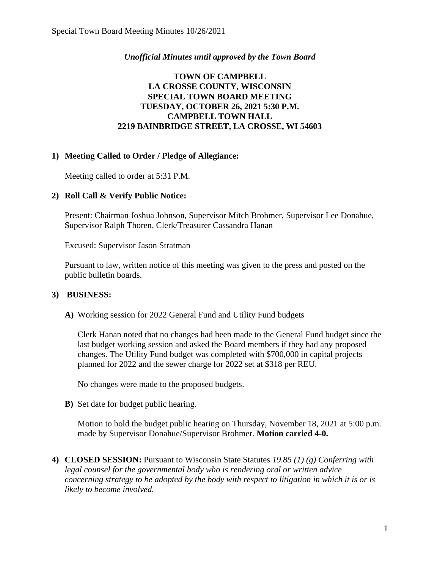## *Unofficial Minutes until approved by the Town Board*

# **TOWN OF CAMPBELL LA CROSSE COUNTY, WISCONSIN SPECIAL TOWN BOARD MEETING TUESDAY, OCTOBER 26, 2021 5:30 P.M. CAMPBELL TOWN HALL 2219 BAINBRIDGE STREET, LA CROSSE, WI 54603**

## **1) Meeting Called to Order / Pledge of Allegiance:**

Meeting called to order at 5:31 P.M.

#### **2) Roll Call & Verify Public Notice:**

Present: Chairman Joshua Johnson, Supervisor Mitch Brohmer, Supervisor Lee Donahue, Supervisor Ralph Thoren, Clerk/Treasurer Cassandra Hanan

Excused: Supervisor Jason Stratman

Pursuant to law, written notice of this meeting was given to the press and posted on the public bulletin boards.

#### **3) BUSINESS:**

**A)** Working session for 2022 General Fund and Utility Fund budgets

Clerk Hanan noted that no changes had been made to the General Fund budget since the last budget working session and asked the Board members if they had any proposed changes. The Utility Fund budget was completed with \$700,000 in capital projects planned for 2022 and the sewer charge for 2022 set at \$318 per REU.

No changes were made to the proposed budgets.

**B)** Set date for budget public hearing.

Motion to hold the budget public hearing on Thursday, November 18, 2021 at 5:00 p.m. made by Supervisor Donahue/Supervisor Brohmer. **Motion carried 4-0.**

**4) CLOSED SESSION:** Pursuant to Wisconsin State Statutes *19.85 (1) (g) Conferring with legal counsel for the governmental body who is rendering oral or written advice concerning strategy to be adopted by the body with respect to litigation in which it is or is likely to become involved.*